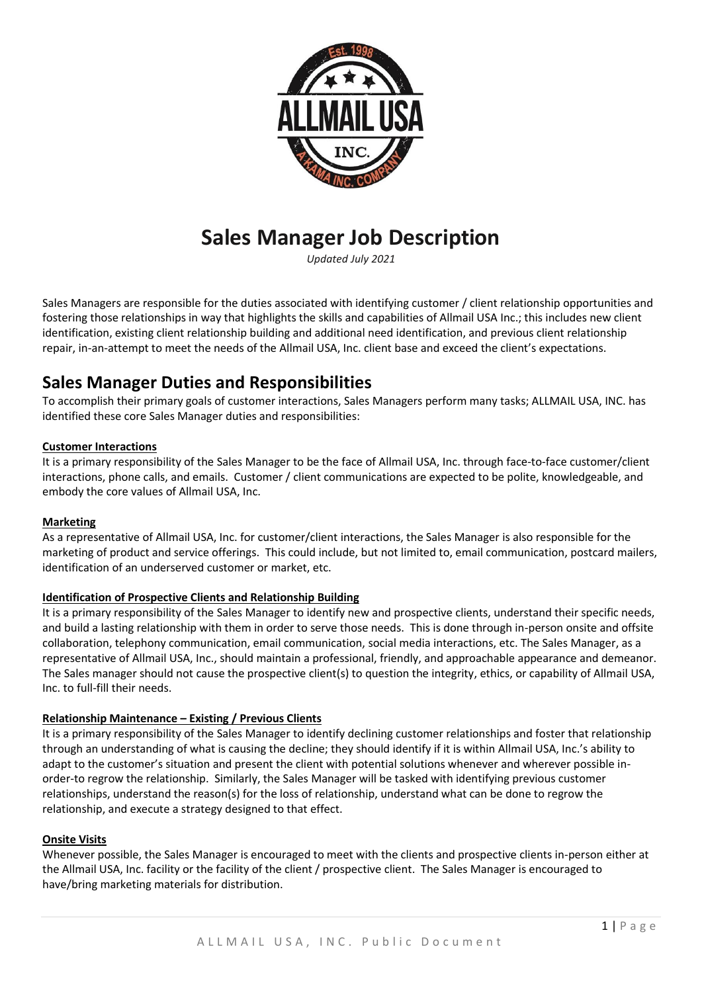

# **Sales Manager Job Description**

*Updated July 2021*

Sales Managers are responsible for the duties associated with identifying customer / client relationship opportunities and fostering those relationships in way that highlights the skills and capabilities of Allmail USA Inc.; this includes new client identification, existing client relationship building and additional need identification, and previous client relationship repair, in-an-attempt to meet the needs of the Allmail USA, Inc. client base and exceed the client's expectations.

## **Sales Manager Duties and Responsibilities**

To accomplish their primary goals of customer interactions, Sales Managers perform many tasks; ALLMAIL USA, INC. has identified these core Sales Manager duties and responsibilities:

#### **Customer Interactions**

It is a primary responsibility of the Sales Manager to be the face of Allmail USA, Inc. through face-to-face customer/client interactions, phone calls, and emails. Customer / client communications are expected to be polite, knowledgeable, and embody the core values of Allmail USA, Inc.

#### **Marketing**

As a representative of Allmail USA, Inc. for customer/client interactions, the Sales Manager is also responsible for the marketing of product and service offerings. This could include, but not limited to, email communication, postcard mailers, identification of an underserved customer or market, etc.

#### **Identification of Prospective Clients and Relationship Building**

It is a primary responsibility of the Sales Manager to identify new and prospective clients, understand their specific needs, and build a lasting relationship with them in order to serve those needs. This is done through in-person onsite and offsite collaboration, telephony communication, email communication, social media interactions, etc. The Sales Manager, as a representative of Allmail USA, Inc., should maintain a professional, friendly, and approachable appearance and demeanor. The Sales manager should not cause the prospective client(s) to question the integrity, ethics, or capability of Allmail USA, Inc. to full-fill their needs.

#### **Relationship Maintenance – Existing / Previous Clients**

It is a primary responsibility of the Sales Manager to identify declining customer relationships and foster that relationship through an understanding of what is causing the decline; they should identify if it is within Allmail USA, Inc.'s ability to adapt to the customer's situation and present the client with potential solutions whenever and wherever possible inorder-to regrow the relationship. Similarly, the Sales Manager will be tasked with identifying previous customer relationships, understand the reason(s) for the loss of relationship, understand what can be done to regrow the relationship, and execute a strategy designed to that effect.

#### **Onsite Visits**

Whenever possible, the Sales Manager is encouraged to meet with the clients and prospective clients in-person either at the Allmail USA, Inc. facility or the facility of the client / prospective client. The Sales Manager is encouraged to have/bring marketing materials for distribution.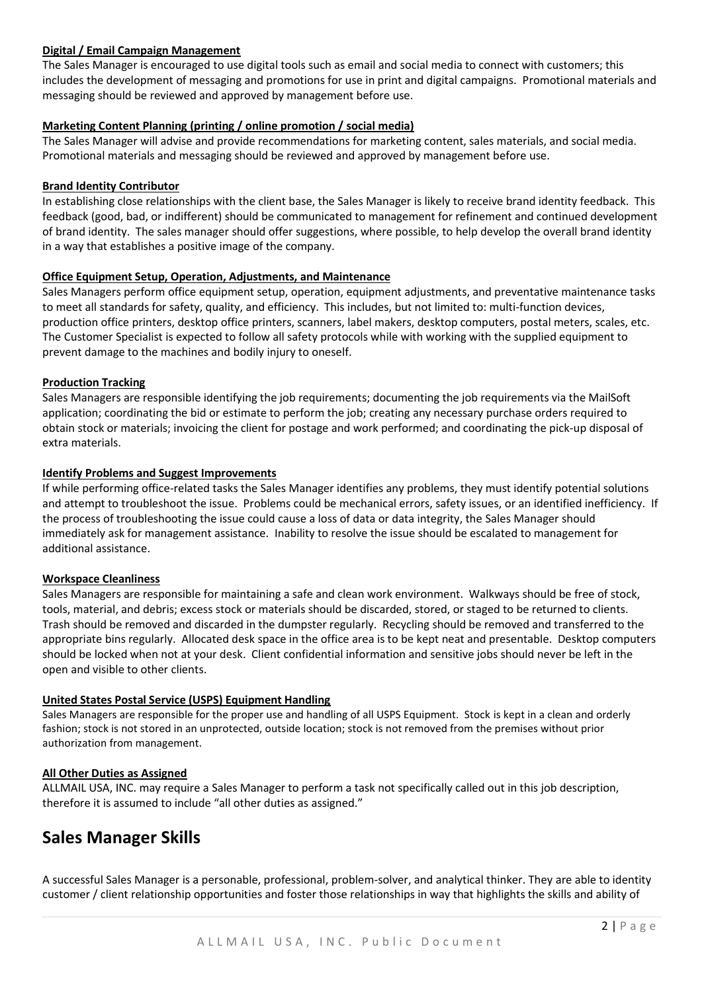#### **Digital / Email Campaign Management**

The Sales Manager is encouraged to use digital tools such as email and social media to connect with customers; this includes the development of messaging and promotions for use in print and digital campaigns. Promotional materials and messaging should be reviewed and approved by management before use.

#### **Marketing Content Planning (printing / online promotion / social media)**

The Sales Manager will advise and provide recommendations for marketing content, sales materials, and social media. Promotional materials and messaging should be reviewed and approved by management before use.

#### **Brand Identity Contributor**

In establishing close relationships with the client base, the Sales Manager is likely to receive brand identity feedback. This feedback (good, bad, or indifferent) should be communicated to management for refinement and continued development of brand identity. The sales manager should offer suggestions, where possible, to help develop the overall brand identity in a way that establishes a positive image of the company.

#### **Office Equipment Setup, Operation, Adjustments, and Maintenance**

Sales Managers perform office equipment setup, operation, equipment adjustments, and preventative maintenance tasks to meet all standards for safety, quality, and efficiency. This includes, but not limited to: multi-function devices, production office printers, desktop office printers, scanners, label makers, desktop computers, postal meters, scales, etc. The Customer Specialist is expected to follow all safety protocols while with working with the supplied equipment to prevent damage to the machines and bodily injury to oneself.

#### **Production Tracking**

Sales Managers are responsible identifying the job requirements; documenting the job requirements via the MailSoft application; coordinating the bid or estimate to perform the job; creating any necessary purchase orders required to obtain stock or materials; invoicing the client for postage and work performed; and coordinating the pick-up disposal of extra materials.

#### **Identify Problems and Suggest Improvements**

If while performing office-related tasks the Sales Manager identifies any problems, they must identify potential solutions and attempt to troubleshoot the issue. Problems could be mechanical errors, safety issues, or an identified inefficiency. If the process of troubleshooting the issue could cause a loss of data or data integrity, the Sales Manager should immediately ask for management assistance. Inability to resolve the issue should be escalated to management for additional assistance.

#### **Workspace Cleanliness**

Sales Managers are responsible for maintaining a safe and clean work environment. Walkways should be free of stock, tools, material, and debris; excess stock or materials should be discarded, stored, or staged to be returned to clients. Trash should be removed and discarded in the dumpster regularly. Recycling should be removed and transferred to the appropriate bins regularly. Allocated desk space in the office area is to be kept neat and presentable. Desktop computers should be locked when not at your desk. Client confidential information and sensitive jobs should never be left in the open and visible to other clients.

#### **United States Postal Service (USPS) Equipment Handling**

Sales Managers are responsible for the proper use and handling of all USPS Equipment. Stock is kept in a clean and orderly fashion; stock is not stored in an unprotected, outside location; stock is not removed from the premises without prior authorization from management.

#### **All Other Duties as Assigned**

ALLMAIL USA, INC. may require a Sales Manager to perform a task not specifically called out in this job description, therefore it is assumed to include "all other duties as assigned."

### **Sales Manager Skills**

A successful Sales Manager is a personable, professional, problem-solver, and analytical thinker. They are able to identity customer / client relationship opportunities and foster those relationships in way that highlights the skills and ability of